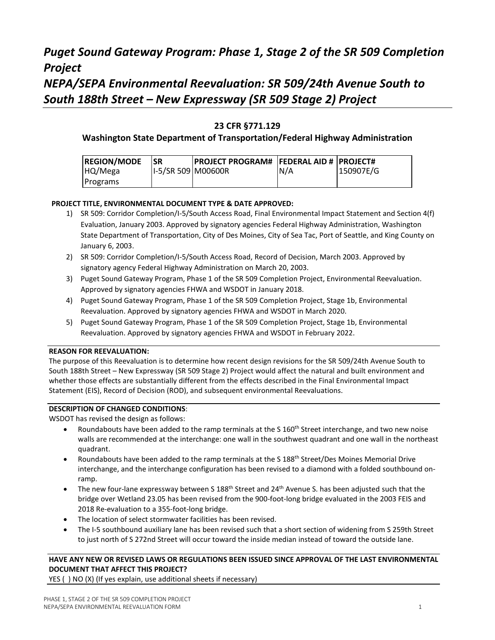# *Puget Sound Gateway Program: Phase 1, Stage 2 of the SR 509 Completion Project NEPA/SEPA Environmental Reevaluation: SR 509/24th Avenue South to South 188th Street – New Expressway (SR 509 Stage 2) Project*

### **23 CFR §771.129**

#### **Washington State Department of Transportation/Federal Highway Administration**

| <b>REGION/MODE</b> | <b>ISR</b>         | <b>IPROJECT PROGRAM# IFEDERAL AID # IPROJECT#</b> |      |           |
|--------------------|--------------------|---------------------------------------------------|------|-----------|
| HQ/Mega            | 1-5/SR 509 M00600R |                                                   | IN/A | 150907E/G |
| Programs           |                    |                                                   |      |           |

#### **PROJECT TITLE, ENVIRONMENTAL DOCUMENT TYPE & DATE APPROVED:**

- 1) SR 509: Corridor Completion/I-5/South Access Road, Final Environmental Impact Statement and Section 4(f) Evaluation, January 2003. Approved by signatory agencies Federal Highway Administration, Washington State Department of Transportation, City of Des Moines, City of Sea Tac, Port of Seattle, and King County on January 6, 2003.
- 2) SR 509: Corridor Completion/I-5/South Access Road, Record of Decision, March 2003. Approved by signatory agency Federal Highway Administration on March 20, 2003.
- 3) Puget Sound Gateway Program, Phase 1 of the SR 509 Completion Project, Environmental Reevaluation. Approved by signatory agencies FHWA and WSDOT in January 2018.
- 4) Puget Sound Gateway Program, Phase 1 of the SR 509 Completion Project, Stage 1b, Environmental Reevaluation. Approved by signatory agencies FHWA and WSDOT in March 2020.
- 5) Puget Sound Gateway Program, Phase 1 of the SR 509 Completion Project, Stage 1b, Environmental Reevaluation. Approved by signatory agencies FHWA and WSDOT in February 2022.

#### **REASON FOR REEVALUATION:**

The purpose of this Reevaluation is to determine how recent design revisions for the SR 509/24th Avenue South to South 188th Street – New Expressway (SR 509 Stage 2) Project would affect the natural and built environment and whether those effects are substantially different from the effects described in the Final Environmental Impact Statement (EIS), Record of Decision (ROD), and subsequent environmental Reevaluations.

#### **DESCRIPTION OF CHANGED CONDITIONS**:

WSDOT has revised the design as follows:

- Roundabouts have been added to the ramp terminals at the S 160<sup>th</sup> Street interchange, and two new noise walls are recommended at the interchange: one wall in the southwest quadrant and one wall in the northeast quadrant.
- Roundabouts have been added to the ramp terminals at the S 188<sup>th</sup> Street/Des Moines Memorial Drive interchange, and the interchange configuration has been revised to a diamond with a folded southbound onramp.
- The new four-lane expressway between S 188<sup>th</sup> Street and 24<sup>th</sup> Avenue S. has been adjusted such that the bridge over Wetland 23.05 has been revised from the 900-foot-long bridge evaluated in the 2003 FEIS and 2018 Re-evaluation to a 355-foot-long bridge.
- The location of select stormwater facilities has been revised.
- The I-5 southbound auxiliary lane has been revised such that a short section of widening from S 259th Street to just north of S 272nd Street will occur toward the inside median instead of toward the outside lane.

### **HAVE ANY NEW OR REVISED LAWS OR REGULATIONS BEEN ISSUED SINCE APPROVAL OF THE LAST ENVIRONMENTAL DOCUMENT THAT AFFECT THIS PROJECT?**

YES ( ) NO (X) (If yes explain, use additional sheets if necessary)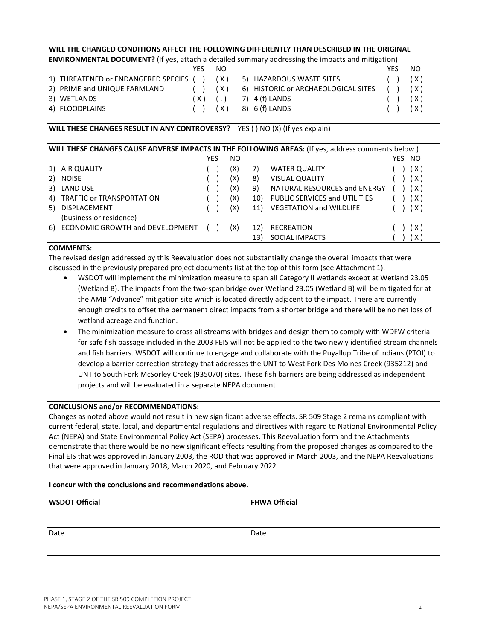# PHASE 1, STAGE 2 OF THE SR 509 COMPLETION PROJECT NEPA/SEPA ENVIRONMENTAL REEVALUATION FORM 2

### **WILL THE CHANGED CONDITIONS AFFECT THE FOLLOWING DIFFERENTLY THAN DESCRIBED IN THE ORIGINAL ENVIRONMENTAL DOCUMENT?** (If yes, attach a detailed summary addressing the impacts and mitigation)

|                                             | YFS.         | NO. |                                                                      | YFS. | NO.          |
|---------------------------------------------|--------------|-----|----------------------------------------------------------------------|------|--------------|
| 1) THREATENED or ENDANGERED SPECIES ( ) (X) |              |     | 5) HAZARDOUS WASTE SITES                                             |      | $(\ )$ $(X)$ |
| 2) PRIME and UNIQUE FARMLAND                | $(\ )$ $(X)$ |     | 6) HISTORIC or ARCHAEOLOGICAL SITES ( ) (X)                          |      |              |
| 3) WETLANDS                                 |              |     | $(X)$ $(.)$ 7) 4 (f) LANDS                                           |      | (X)          |
| 4) FLOODPLAINS                              |              |     | $(X)$ $(0, 0)$ $(0, 0)$ $(0, 0)$ $(0, 0)$ $(0, 0)$ $(0, 0)$ $(0, 0)$ |      | (X)          |

### **WILL THESE CHANGES RESULT IN ANY CONTROVERSY?** YES ( ) NO (X) (If yes explain)

|    | WILL THESE CHANGES CAUSE ADVERSE IMPACTS IN THE FOLLOWING AREAS: (If yes, address comments below.) |     |     |     |                                |        |  |
|----|----------------------------------------------------------------------------------------------------|-----|-----|-----|--------------------------------|--------|--|
|    |                                                                                                    | YES | ΝO  |     |                                | YES NO |  |
|    | AIR QUALITY                                                                                        |     | (X) | 7)  | <b>WATER QUALITY</b>           | ( X )  |  |
| 2) | <b>NOISE</b>                                                                                       |     | (X) | 8)  | <b>VISUAL QUALITY</b>          | ( X )  |  |
| 3) | <b>LAND USE</b>                                                                                    |     | (X) | 9)  | NATURAL RESOURCES and ENERGY   | ( X )  |  |
| 4) | TRAFFIC or TRANSPORTATION                                                                          |     | (X) | 10) | PUBLIC SERVICES and UTILITIES  | ( X )  |  |
| 5) | DISPLACEMENT<br>(business or residence)                                                            |     | (X) | 11) | <b>VEGETATION and WILDLIFE</b> | ( X )  |  |
| 6) | ECONOMIC GROWTH and DEVELOPMENT                                                                    |     | (X) | 12) | <b>RECREATION</b>              | ( X )  |  |
|    |                                                                                                    |     |     | 13) | SOCIAL IMPACTS                 | (X)    |  |

### **COMMENTS:**

The revised design addressed by this Reevaluation does not substantially change the overall impacts that were discussed in the previously prepared project documents list at the top of this form (see Attachment 1).

- WSDOT will implement the minimization measure to span all Category II wetlands except at Wetland 23.05 (Wetland B). The impacts from the two-span bridge over Wetland 23.05 (Wetland B) will be mitigated for at the AMB "Advance" mitigation site which is located directly adjacent to the impact. There are currently enough credits to offset the permanent direct impacts from a shorter bridge and there will be no net loss of wetland acreage and function.
- The minimization measure to cross all streams with bridges and design them to comply with WDFW criteria for safe fish passage included in the 2003 FEIS will not be applied to the two newly identified stream channels and fish barriers. WSDOT will continue to engage and collaborate with the Puyallup Tribe of Indians (PTOI) to develop a barrier correction strategy that addresses the UNT to West Fork Des Moines Creek (935212) and UNT to South Fork McSorley Creek (935070) sites. These fish barriers are being addressed as independent projects and will be evaluated in a separate NEPA document.

### **CONCLUSIONS and/or RECOMMENDATIONS:**

Changes as noted above would not result in new significant adverse effects. SR 509 Stage 2 remains compliant with current federal, state, local, and departmental regulations and directives with regard to National Environmental Policy Act (NEPA) and State Environmental Policy Act (SEPA) processes. This Reevaluation form and the Attachments demonstrate that there would be no new significant effects resulting from the proposed changes as compared to the Final EIS that was approved in January 2003, the ROD that was approved in March 2003, and the NEPA Reevaluations that were approved in January 2018, March 2020, and February 2022.

### **I concur with the conclusions and recommendations above.**

| <b>WSDOT Official</b> | <b>FHWA Official</b> |
|-----------------------|----------------------|
|                       |                      |
| Date                  | Date                 |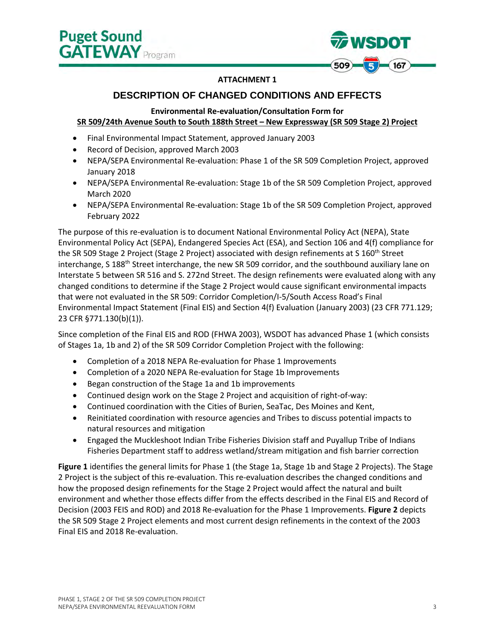

#### **ATTACHMENT 1**

### **DESCRIPTION OF CHANGED CONDITIONS AND EFFECTS**

### **Environmental Re-evaluation/Consultation Form for SR 509/24th Avenue South to South 188th Street – New Expressway (SR 509 Stage 2) Project**

- Final Environmental Impact Statement, approved January 2003
- Record of Decision, approved March 2003
- NEPA/SEPA Environmental Re-evaluation: Phase 1 of the SR 509 Completion Project, approved January 2018
- NEPA/SEPA Environmental Re-evaluation: Stage 1b of the SR 509 Completion Project, approved March 2020
- NEPA/SEPA Environmental Re-evaluation: Stage 1b of the SR 509 Completion Project, approved February 2022

The purpose of this re-evaluation is to document National Environmental Policy Act (NEPA), State Environmental Policy Act (SEPA), Endangered Species Act (ESA), and Section 106 and 4(f) compliance for the SR 509 Stage 2 Project (Stage 2 Project) associated with design refinements at S 160<sup>th</sup> Street interchange, S 188<sup>th</sup> Street interchange, the new SR 509 corridor, and the southbound auxiliary lane on Interstate 5 between SR 516 and S. 272nd Street. The design refinements were evaluated along with any changed conditions to determine if the Stage 2 Project would cause significant environmental impacts that were not evaluated in the SR 509: Corridor Completion/I-5/South Access Road's Final Environmental Impact Statement (Final EIS) and Section 4(f) Evaluation (January 2003) (23 CFR 771.129; 23 CFR §771.130(b)(1)).

Since completion of the Final EIS and ROD (FHWA 2003), WSDOT has advanced Phase 1 (which consists of Stages 1a, 1b and 2) of the SR 509 Corridor Completion Project with the following:

- Completion of a 2018 NEPA Re-evaluation for Phase 1 Improvements
- Completion of a 2020 NEPA Re-evaluation for Stage 1b Improvements
- Began construction of the Stage 1a and 1b improvements
- Continued design work on the Stage 2 Project and acquisition of right-of-way:
- Continued coordination with the Cities of Burien, SeaTac, Des Moines and Kent,
- Reinitiated coordination with resource agencies and Tribes to discuss potential impacts to natural resources and mitigation
- Engaged the Muckleshoot Indian Tribe Fisheries Division staff and Puyallup Tribe of Indians Fisheries Department staff to address wetland/stream mitigation and fish barrier correction

**Figure 1** identifies the general limits for Phase 1 (the Stage 1a, Stage 1b and Stage 2 Projects). The Stage 2 Project is the subject of this re-evaluation. This re-evaluation describes the changed conditions and how the proposed design refinements for the Stage 2 Project would affect the natural and built environment and whether those effects differ from the effects described in the Final EIS and Record of Decision (2003 FEIS and ROD) and 2018 Re-evaluation for the Phase 1 Improvements. **Figure 2** depicts the SR 509 Stage 2 Project elements and most current design refinements in the context of the 2003 Final EIS and 2018 Re-evaluation.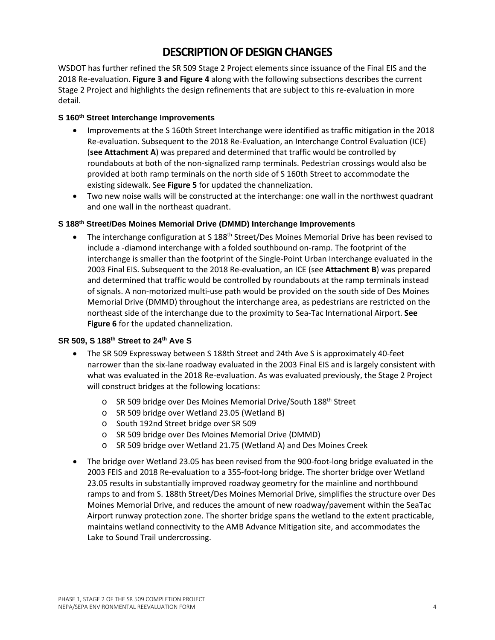# **DESCRIPTION OF DESIGN CHANGES**

WSDOT has further refined the SR 509 Stage 2 Project elements since issuance of the Final EIS and the 2018 Re-evaluation. **Figure 3 and Figure 4** along with the following subsections describes the current Stage 2 Project and highlights the design refinements that are subject to this re-evaluation in more detail.

#### **S 160th Street Interchange Improvements**

- Improvements at the S 160th Street Interchange were identified as traffic mitigation in the 2018 Re-evaluation. Subsequent to the 2018 Re-Evaluation, an Interchange Control Evaluation (ICE) (**see Attachment A**) was prepared and determined that traffic would be controlled by roundabouts at both of the non-signalized ramp terminals. Pedestrian crossings would also be provided at both ramp terminals on the north side of S 160th Street to accommodate the existing sidewalk. See **Figure 5** for updated the channelization.
- Two new noise walls will be constructed at the interchange: one wall in the northwest quadrant and one wall in the northeast quadrant.

#### **S 188th Street/Des Moines Memorial Drive (DMMD) Interchange Improvements**

The interchange configuration at S 188<sup>th</sup> Street/Des Moines Memorial Drive has been revised to include a -diamond interchange with a folded southbound on-ramp. The footprint of the interchange is smaller than the footprint of the Single-Point Urban Interchange evaluated in the 2003 Final EIS. Subsequent to the 2018 Re-evaluation, an ICE (see **Attachment B**) was prepared and determined that traffic would be controlled by roundabouts at the ramp terminals instead of signals. A non-motorized multi-use path would be provided on the south side of Des Moines Memorial Drive (DMMD) throughout the interchange area, as pedestrians are restricted on the northeast side of the interchange due to the proximity to Sea-Tac International Airport. **See Figure 6** for the updated channelization.

#### **SR 509, S 188th Street to 24th Ave S**

- The SR 509 Expressway between S 188th Street and 24th Ave S is approximately 40-feet narrower than the six-lane roadway evaluated in the 2003 Final EIS and is largely consistent with what was evaluated in the 2018 Re-evaluation. As was evaluated previously, the Stage 2 Project will construct bridges at the following locations:
	- o SR 509 bridge over Des Moines Memorial Drive/South 188th Street
	- o SR 509 bridge over Wetland 23.05 (Wetland B)
	- o South 192nd Street bridge over SR 509
	- o SR 509 bridge over Des Moines Memorial Drive (DMMD)
	- o SR 509 bridge over Wetland 21.75 (Wetland A) and Des Moines Creek
- The bridge over Wetland 23.05 has been revised from the 900-foot-long bridge evaluated in the 2003 FEIS and 2018 Re-evaluation to a 355-foot-long bridge. The shorter bridge over Wetland 23.05 results in substantially improved roadway geometry for the mainline and northbound ramps to and from S. 188th Street/Des Moines Memorial Drive, simplifies the structure over Des Moines Memorial Drive, and reduces the amount of new roadway/pavement within the SeaTac Airport runway protection zone. The shorter bridge spans the wetland to the extent practicable, maintains wetland connectivity to the AMB Advance Mitigation site, and accommodates the Lake to Sound Trail undercrossing.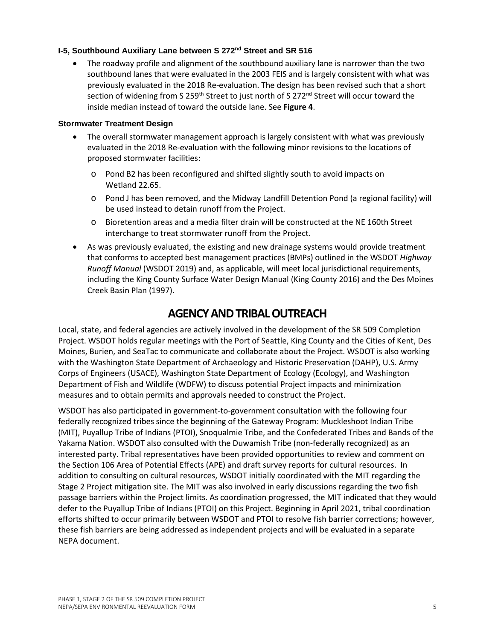#### **I-5, Southbound Auxiliary Lane between S 272nd Street and SR 516**

• The roadway profile and alignment of the southbound auxiliary lane is narrower than the two southbound lanes that were evaluated in the 2003 FEIS and is largely consistent with what was previously evaluated in the 2018 Re-evaluation. The design has been revised such that a short section of widening from S 259<sup>th</sup> Street to just north of S 272<sup>nd</sup> Street will occur toward the inside median instead of toward the outside lane. See **Figure 4**.

#### **Stormwater Treatment Design**

- The overall stormwater management approach is largely consistent with what was previously evaluated in the 2018 Re-evaluation with the following minor revisions to the locations of proposed stormwater facilities:
	- o Pond B2 has been reconfigured and shifted slightly south to avoid impacts on Wetland 22.65.
	- o Pond J has been removed, and the Midway Landfill Detention Pond (a regional facility) will be used instead to detain runoff from the Project.
	- o Bioretention areas and a media filter drain will be constructed at the NE 160th Street interchange to treat stormwater runoff from the Project.
- As was previously evaluated, the existing and new drainage systems would provide treatment that conforms to accepted best management practices (BMPs) outlined in the WSDOT *Highway Runoff Manual* (WSDOT 2019) and, as applicable, will meet local jurisdictional requirements, including the King County Surface Water Design Manual (King County 2016) and the Des Moines Creek Basin Plan (1997).

## **AGENCY AND TRIBAL OUTREACH**

Local, state, and federal agencies are actively involved in the development of the SR 509 Completion Project. WSDOT holds regular meetings with the Port of Seattle, King County and the Cities of Kent, Des Moines, Burien, and SeaTac to communicate and collaborate about the Project. WSDOT is also working with the Washington State Department of Archaeology and Historic Preservation (DAHP), U.S. Army Corps of Engineers (USACE), Washington State Department of Ecology (Ecology), and Washington Department of Fish and Wildlife (WDFW) to discuss potential Project impacts and minimization measures and to obtain permits and approvals needed to construct the Project.

WSDOT has also participated in government-to-government consultation with the following four federally recognized tribes since the beginning of the Gateway Program: Muckleshoot Indian Tribe (MIT), Puyallup Tribe of Indians (PTOI), Snoqualmie Tribe, and the Confederated Tribes and Bands of the Yakama Nation. WSDOT also consulted with the Duwamish Tribe (non-federally recognized) as an interested party. Tribal representatives have been provided opportunities to review and comment on the Section 106 Area of Potential Effects (APE) and draft survey reports for cultural resources. In addition to consulting on cultural resources, WSDOT initially coordinated with the MIT regarding the Stage 2 Project mitigation site. The MIT was also involved in early discussions regarding the two fish passage barriers within the Project limits. As coordination progressed, the MIT indicated that they would defer to the Puyallup Tribe of Indians (PTOI) on this Project. Beginning in April 2021, tribal coordination efforts shifted to occur primarily between WSDOT and PTOI to resolve fish barrier corrections; however, these fish barriers are being addressed as independent projects and will be evaluated in a separate NEPA document.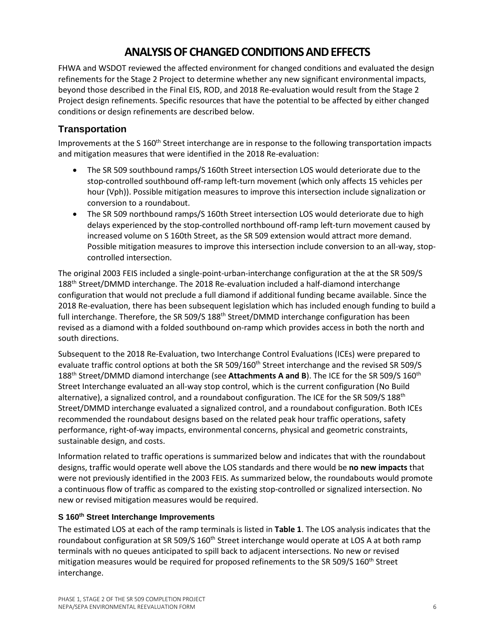# **ANALYSIS OF CHANGED CONDITIONS AND EFFECTS**

FHWA and WSDOT reviewed the affected environment for changed conditions and evaluated the design refinements for the Stage 2 Project to determine whether any new significant environmental impacts, beyond those described in the Final EIS, ROD, and 2018 Re-evaluation would result from the Stage 2 Project design refinements. Specific resources that have the potential to be affected by either changed conditions or design refinements are described below.

### **Transportation**

Improvements at the S 160<sup>th</sup> Street interchange are in response to the following transportation impacts and mitigation measures that were identified in the 2018 Re-evaluation:

- The SR 509 southbound ramps/S 160th Street intersection LOS would deteriorate due to the stop-controlled southbound off-ramp left-turn movement (which only affects 15 vehicles per hour (Vph)). Possible mitigation measures to improve this intersection include signalization or conversion to a roundabout.
- The SR 509 northbound ramps/S 160th Street intersection LOS would deteriorate due to high delays experienced by the stop-controlled northbound off-ramp left-turn movement caused by increased volume on S 160th Street, as the SR 509 extension would attract more demand. Possible mitigation measures to improve this intersection include conversion to an all-way, stopcontrolled intersection.

The original 2003 FEIS included a single-point-urban-interchange configuration at the at the SR 509/S 188<sup>th</sup> Street/DMMD interchange. The 2018 Re-evaluation included a half-diamond interchange configuration that would not preclude a full diamond if additional funding became available. Since the 2018 Re-evaluation, there has been subsequent legislation which has included enough funding to build a full interchange. Therefore, the SR 509/S 188<sup>th</sup> Street/DMMD interchange configuration has been revised as a diamond with a folded southbound on-ramp which provides access in both the north and south directions.

Subsequent to the 2018 Re-Evaluation, two Interchange Control Evaluations (ICEs) were prepared to evaluate traffic control options at both the SR 509/160<sup>th</sup> Street interchange and the revised SR 509/S 188th Street/DMMD diamond interchange (see **Attachments A and B**). The ICE for the SR 509/S 160th Street Interchange evaluated an all-way stop control, which is the current configuration (No Build alternative), a signalized control, and a roundabout configuration. The ICE for the SR 509/S 188th Street/DMMD interchange evaluated a signalized control, and a roundabout configuration. Both ICEs recommended the roundabout designs based on the related peak hour traffic operations, safety performance, right-of-way impacts, environmental concerns, physical and geometric constraints, sustainable design, and costs.

Information related to traffic operations is summarized below and indicates that with the roundabout designs, traffic would operate well above the LOS standards and there would be **no new impacts** that were not previously identified in the 2003 FEIS. As summarized below, the roundabouts would promote a continuous flow of traffic as compared to the existing stop-controlled or signalized intersection. No new or revised mitigation measures would be required.

### **S 160th Street Interchange Improvements**

The estimated LOS at each of the ramp terminals is listed in **Table 1**. The LOS analysis indicates that the roundabout configuration at SR 509/S 160<sup>th</sup> Street interchange would operate at LOS A at both ramp terminals with no queues anticipated to spill back to adjacent intersections. No new or revised mitigation measures would be required for proposed refinements to the SR 509/S 160<sup>th</sup> Street interchange.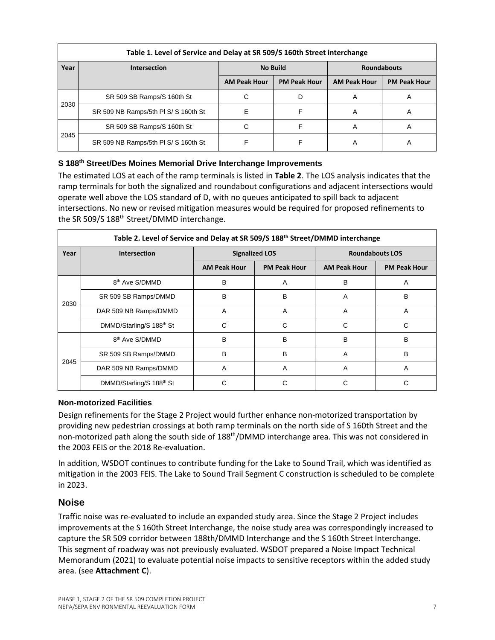| Table 1. Level of Service and Delay at SR 509/S 160th Street interchange |                                      |                     |                     |                     |                     |  |  |
|--------------------------------------------------------------------------|--------------------------------------|---------------------|---------------------|---------------------|---------------------|--|--|
| Year                                                                     | <b>Intersection</b>                  | <b>No Build</b>     |                     | <b>Roundabouts</b>  |                     |  |  |
|                                                                          |                                      | <b>AM Peak Hour</b> | <b>PM Peak Hour</b> | <b>AM Peak Hour</b> | <b>PM Peak Hour</b> |  |  |
| 2030                                                                     | SR 509 SB Ramps/S 160th St           | С                   | D                   | A                   | A                   |  |  |
|                                                                          | SR 509 NB Ramps/5th PI S/ S 160th St | F                   |                     | Α                   | A                   |  |  |
| 2045                                                                     | SR 509 SB Ramps/S 160th St           | С                   |                     | Α                   | Α                   |  |  |
|                                                                          | SR 509 NB Ramps/5th PI S/ S 160th St |                     | F                   | Α                   | A                   |  |  |

#### **S 188th Street/Des Moines Memorial Drive Interchange Improvements**

The estimated LOS at each of the ramp terminals is listed in **Table 2**. The LOS analysis indicates that the ramp terminals for both the signalized and roundabout configurations and adjacent intersections would operate well above the LOS standard of D, with no queues anticipated to spill back to adjacent intersections. No new or revised mitigation measures would be required for proposed refinements to the SR 509/S 188<sup>th</sup> Street/DMMD interchange.

| Table 2. Level of Service and Delay at SR 509/S 188 <sup>th</sup> Street/DMMD interchange |                                      |                       |                     |                        |                     |  |  |  |
|-------------------------------------------------------------------------------------------|--------------------------------------|-----------------------|---------------------|------------------------|---------------------|--|--|--|
| Year                                                                                      | <b>Intersection</b>                  | <b>Signalized LOS</b> |                     | <b>Roundabouts LOS</b> |                     |  |  |  |
|                                                                                           |                                      | <b>AM Peak Hour</b>   | <b>PM Peak Hour</b> | <b>AM Peak Hour</b>    | <b>PM Peak Hour</b> |  |  |  |
|                                                                                           | 8 <sup>th</sup> Ave S/DMMD           | B                     | A                   | B                      | A                   |  |  |  |
| 2030                                                                                      | SR 509 SB Ramps/DMMD                 | B                     | B                   | A                      | в                   |  |  |  |
|                                                                                           | DAR 509 NB Ramps/DMMD                | A                     | A                   | A                      | A                   |  |  |  |
|                                                                                           | DMMD/Starling/S 188 <sup>th</sup> St | C                     | C                   | C                      | C                   |  |  |  |
|                                                                                           | 8 <sup>th</sup> Ave S/DMMD           | B                     | B                   | B                      | B                   |  |  |  |
| 2045                                                                                      | SR 509 SB Ramps/DMMD                 | B                     | B                   | A                      | в                   |  |  |  |
|                                                                                           | DAR 509 NB Ramps/DMMD                | A                     | A                   | A                      | A                   |  |  |  |
|                                                                                           | DMMD/Starling/S 188 <sup>th</sup> St |                       | С                   |                        |                     |  |  |  |

#### **Non-motorized Facilities**

Design refinements for the Stage 2 Project would further enhance non-motorized transportation by providing new pedestrian crossings at both ramp terminals on the north side of S 160th Street and the non-motorized path along the south side of 188<sup>th</sup>/DMMD interchange area. This was not considered in the 2003 FEIS or the 2018 Re-evaluation.

In addition, WSDOT continues to contribute funding for the Lake to Sound Trail, which was identified as mitigation in the 2003 FEIS. The Lake to Sound Trail Segment C construction is scheduled to be complete in 2023.

### **Noise**

Traffic noise was re-evaluated to include an expanded study area. Since the Stage 2 Project includes improvements at the S 160th Street Interchange, the noise study area was correspondingly increased to capture the SR 509 corridor between 188th/DMMD Interchange and the S 160th Street Interchange. This segment of roadway was not previously evaluated. WSDOT prepared a Noise Impact Technical Memorandum (2021) to evaluate potential noise impacts to sensitive receptors within the added study area. (see **Attachment C**).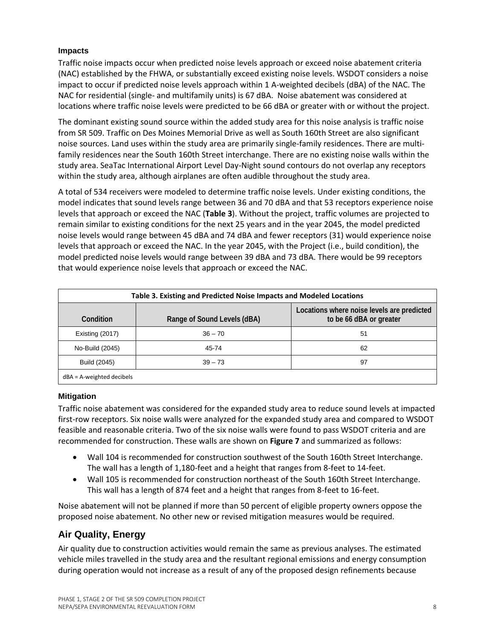#### **Impacts**

Traffic noise impacts occur when predicted noise levels approach or exceed noise abatement criteria (NAC) established by the FHWA, or substantially exceed existing noise levels. WSDOT considers a noise impact to occur if predicted noise levels approach within 1 A-weighted decibels (dBA) of the NAC. The NAC for residential (single- and multifamily units) is 67 dBA. Noise abatement was considered at locations where traffic noise levels were predicted to be 66 dBA or greater with or without the project.

The dominant existing sound source within the added study area for this noise analysis is traffic noise from SR 509. Traffic on Des Moines Memorial Drive as well as South 160th Street are also significant noise sources. Land uses within the study area are primarily single-family residences. There are multifamily residences near the South 160th Street interchange. There are no existing noise walls within the study area. SeaTac International Airport Level Day-Night sound contours do not overlap any receptors within the study area, although airplanes are often audible throughout the study area.

A total of 534 receivers were modeled to determine traffic noise levels. Under existing conditions, the model indicates that sound levels range between 36 and 70 dBA and that 53 receptors experience noise levels that approach or exceed the NAC (**Table 3**). Without the project, traffic volumes are projected to remain similar to existing conditions for the next 25 years and in the year 2045, the model predicted noise levels would range between 45 dBA and 74 dBA and fewer receptors (31) would experience noise levels that approach or exceed the NAC. In the year 2045, with the Project (i.e., build condition), the model predicted noise levels would range between 39 dBA and 73 dBA. There would be 99 receptors that would experience noise levels that approach or exceed the NAC.

| Table 3. Existing and Predicted Noise Impacts and Modeled Locations |                             |                                                                       |  |  |  |
|---------------------------------------------------------------------|-----------------------------|-----------------------------------------------------------------------|--|--|--|
| Condition                                                           | Range of Sound Levels (dBA) | Locations where noise levels are predicted<br>to be 66 dBA or greater |  |  |  |
| Existing (2017)                                                     | $36 - 70$                   | 51                                                                    |  |  |  |
| No-Build (2045)                                                     | 45-74                       | 62                                                                    |  |  |  |
| Build (2045)                                                        | $39 - 73$                   | 97                                                                    |  |  |  |
| $dBA = A$ -weighted decibels                                        |                             |                                                                       |  |  |  |

### **Mitigation**

Traffic noise abatement was considered for the expanded study area to reduce sound levels at impacted first-row receptors. Six noise walls were analyzed for the expanded study area and compared to WSDOT feasible and reasonable criteria. Two of the six noise walls were found to pass WSDOT criteria and are recommended for construction. These walls are shown on **Figure 7** and summarized as follows:

- Wall 104 is recommended for construction southwest of the South 160th Street Interchange. The wall has a length of 1,180-feet and a height that ranges from 8-feet to 14-feet.
- Wall 105 is recommended for construction northeast of the South 160th Street Interchange. This wall has a length of 874 feet and a height that ranges from 8-feet to 16-feet.

Noise abatement will not be planned if more than 50 percent of eligible property owners oppose the proposed noise abatement. No other new or revised mitigation measures would be required.

### **Air Quality, Energy**

Air quality due to construction activities would remain the same as previous analyses. The estimated vehicle miles travelled in the study area and the resultant regional emissions and energy consumption during operation would not increase as a result of any of the proposed design refinements because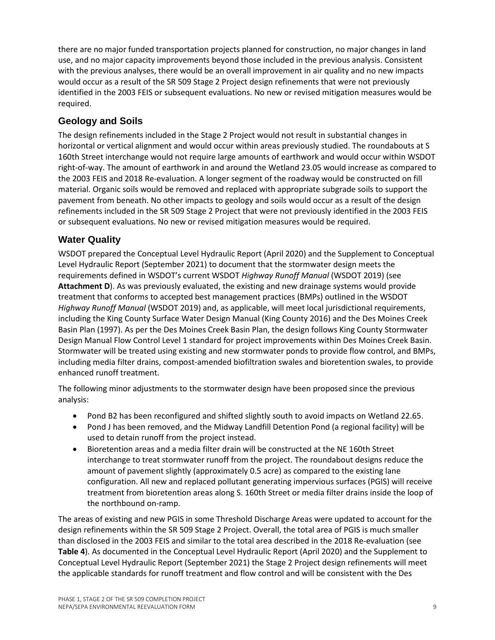there are no major funded transportation projects planned for construction, no major changes in land use, and no major capacity improvements beyond those included in the previous analysis. Consistent with the previous analyses, there would be an overall improvement in air quality and no new impacts would occur as a result of the SR 509 Stage 2 Project design refinements that were not previously identified in the 2003 FEIS or subsequent evaluations. No new or revised mitigation measures would be required.

### **Geology and Soils**

The design refinements included in the Stage 2 Project would not result in substantial changes in horizontal or vertical alignment and would occur within areas previously studied. The roundabouts at S 160th Street interchange would not require large amounts of earthwork and would occur within WSDOT right-of-way. The amount of earthwork in and around the Wetland 23.05 would increase as compared to the 2003 FEIS and 2018 Re-evaluation. A longer segment of the roadway would be constructed on fill material. Organic soils would be removed and replaced with appropriate subgrade soils to support the pavement from beneath. No other impacts to geology and soils would occur as a result of the design refinements included in the SR 509 Stage 2 Project that were not previously identified in the 2003 FEIS or subsequent evaluations. No new or revised mitigation measures would be required.

### **Water Quality**

WSDOT prepared the Conceptual Level Hydraulic Report (April 2020) and the Supplement to Conceptual Level Hydraulic Report (September 2021) to document that the stormwater design meets the requirements defined in WSDOT's current WSDOT *Highway Runoff Manual* (WSDOT 2019) (see **Attachment D**). As was previously evaluated, the existing and new drainage systems would provide treatment that conforms to accepted best management practices (BMPs) outlined in the WSDOT *Highway Runoff Manual* (WSDOT 2019) and, as applicable, will meet local jurisdictional requirements, including the King County Surface Water Design Manual (King County 2016) and the Des Moines Creek Basin Plan (1997). As per the Des Moines Creek Basin Plan, the design follows King County Stormwater Design Manual Flow Control Level 1 standard for project improvements within Des Moines Creek Basin. Stormwater will be treated using existing and new stormwater ponds to provide flow control, and BMPs, including media filter drains, compost-amended biofiltration swales and bioretention swales, to provide enhanced runoff treatment.

The following minor adjustments to the stormwater design have been proposed since the previous analysis:

- Pond B2 has been reconfigured and shifted slightly south to avoid impacts on Wetland 22.65.
- Pond J has been removed, and the Midway Landfill Detention Pond (a regional facility) will be used to detain runoff from the project instead.
- Bioretention areas and a media filter drain will be constructed at the NE 160th Street interchange to treat stormwater runoff from the project. The roundabout designs reduce the amount of pavement slightly (approximately 0.5 acre) as compared to the existing lane configuration. All new and replaced pollutant generating impervious surfaces (PGIS) will receive treatment from bioretention areas along S. 160th Street or media filter drains inside the loop of the northbound on-ramp.

The areas of existing and new PGIS in some Threshold Discharge Areas were updated to account for the design refinements within the SR 509 Stage 2 Project. Overall, the total area of PGIS is much smaller than disclosed in the 2003 FEIS and similar to the total area described in the 2018 Re-evaluation (see **Table 4**). As documented in the Conceptual Level Hydraulic Report (April 2020) and the Supplement to Conceptual Level Hydraulic Report (September 2021) the Stage 2 Project design refinements will meet the applicable standards for runoff treatment and flow control and will be consistent with the Des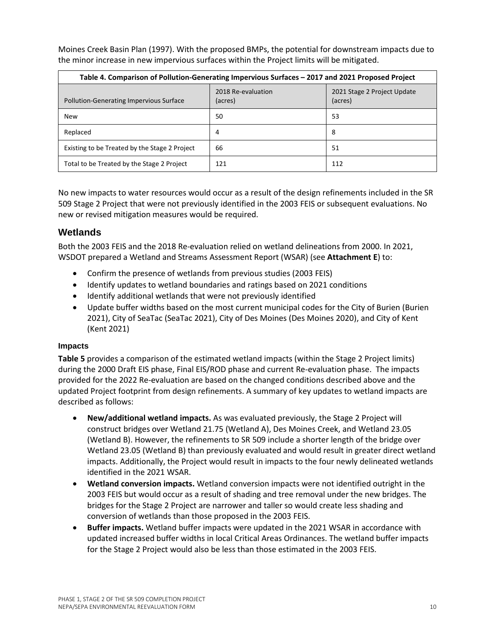Moines Creek Basin Plan (1997). With the proposed BMPs, the potential for downstream impacts due to the minor increase in new impervious surfaces within the Project limits will be mitigated.

| Table 4. Comparison of Pollution-Generating Impervious Surfaces – 2017 and 2021 Proposed Project |                               |                                        |  |  |  |  |
|--------------------------------------------------------------------------------------------------|-------------------------------|----------------------------------------|--|--|--|--|
| <b>Pollution-Generating Impervious Surface</b>                                                   | 2018 Re-evaluation<br>(acres) | 2021 Stage 2 Project Update<br>(acres) |  |  |  |  |
| <b>New</b>                                                                                       | 50                            | 53                                     |  |  |  |  |
| Replaced                                                                                         | 4                             | 8                                      |  |  |  |  |
| Existing to be Treated by the Stage 2 Project                                                    | 66                            | 51                                     |  |  |  |  |
| Total to be Treated by the Stage 2 Project                                                       | 121                           | 112                                    |  |  |  |  |

No new impacts to water resources would occur as a result of the design refinements included in the SR 509 Stage 2 Project that were not previously identified in the 2003 FEIS or subsequent evaluations. No new or revised mitigation measures would be required.

### **Wetlands**

Both the 2003 FEIS and the 2018 Re-evaluation relied on wetland delineations from 2000. In 2021, WSDOT prepared a Wetland and Streams Assessment Report (WSAR) (see **Attachment E**) to:

- Confirm the presence of wetlands from previous studies (2003 FEIS)
- Identify updates to wetland boundaries and ratings based on 2021 conditions
- Identify additional wetlands that were not previously identified
- Update buffer widths based on the most current municipal codes for the City of Burien (Burien 2021), City of SeaTac (SeaTac 2021), City of Des Moines (Des Moines 2020), and City of Kent (Kent 2021)

### **Impacts**

**Table 5** provides a comparison of the estimated wetland impacts (within the Stage 2 Project limits) during the 2000 Draft EIS phase, Final EIS/ROD phase and current Re-evaluation phase. The impacts provided for the 2022 Re-evaluation are based on the changed conditions described above and the updated Project footprint from design refinements. A summary of key updates to wetland impacts are described as follows:

- **New/additional wetland impacts.** As was evaluated previously, the Stage 2 Project will construct bridges over Wetland 21.75 (Wetland A), Des Moines Creek, and Wetland 23.05 (Wetland B). However, the refinements to SR 509 include a shorter length of the bridge over Wetland 23.05 (Wetland B) than previously evaluated and would result in greater direct wetland impacts. Additionally, the Project would result in impacts to the four newly delineated wetlands identified in the 2021 WSAR.
- **Wetland conversion impacts.** Wetland conversion impacts were not identified outright in the 2003 FEIS but would occur as a result of shading and tree removal under the new bridges. The bridges for the Stage 2 Project are narrower and taller so would create less shading and conversion of wetlands than those proposed in the 2003 FEIS.
- **Buffer impacts.** Wetland buffer impacts were updated in the 2021 WSAR in accordance with updated increased buffer widths in local Critical Areas Ordinances. The wetland buffer impacts for the Stage 2 Project would also be less than those estimated in the 2003 FEIS.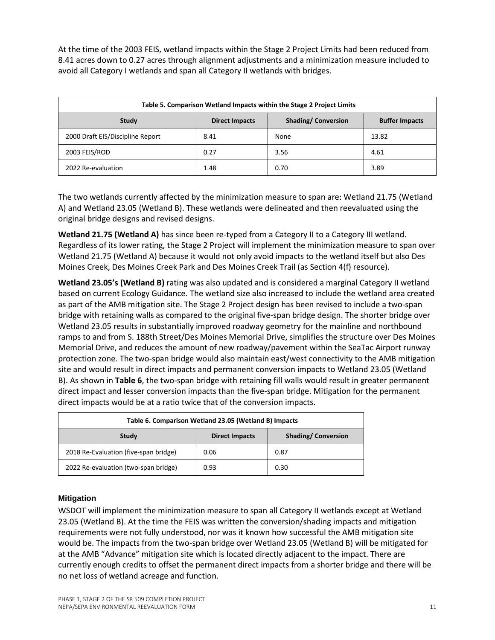At the time of the 2003 FEIS, wetland impacts within the Stage 2 Project Limits had been reduced from 8.41 acres down to 0.27 acres through alignment adjustments and a minimization measure included to avoid all Category I wetlands and span all Category II wetlands with bridges.

| Table 5. Comparison Wetland Impacts within the Stage 2 Project Limits |                       |                           |                       |  |  |  |
|-----------------------------------------------------------------------|-----------------------|---------------------------|-----------------------|--|--|--|
| Study                                                                 | <b>Direct Impacts</b> | <b>Shading/Conversion</b> | <b>Buffer Impacts</b> |  |  |  |
| 2000 Draft EIS/Discipline Report                                      | 8.41                  | None                      | 13.82                 |  |  |  |
| 2003 FEIS/ROD                                                         | 0.27                  | 3.56                      | 4.61                  |  |  |  |
| 2022 Re-evaluation                                                    | 1.48                  | 0.70                      | 3.89                  |  |  |  |

The two wetlands currently affected by the minimization measure to span are: Wetland 21.75 (Wetland A) and Wetland 23.05 (Wetland B). These wetlands were delineated and then reevaluated using the original bridge designs and revised designs.

**Wetland 21.75 (Wetland A)** has since been re-typed from a Category II to a Category III wetland. Regardless of its lower rating, the Stage 2 Project will implement the minimization measure to span over Wetland 21.75 (Wetland A) because it would not only avoid impacts to the wetland itself but also Des Moines Creek, Des Moines Creek Park and Des Moines Creek Trail (as Section 4(f) resource).

**Wetland 23.05's (Wetland B)** rating was also updated and is considered a marginal Category II wetland based on current Ecology Guidance. The wetland size also increased to include the wetland area created as part of the AMB mitigation site. The Stage 2 Project design has been revised to include a two-span bridge with retaining walls as compared to the original five-span bridge design. The shorter bridge over Wetland 23.05 results in substantially improved roadway geometry for the mainline and northbound ramps to and from S. 188th Street/Des Moines Memorial Drive, simplifies the structure over Des Moines Memorial Drive, and reduces the amount of new roadway/pavement within the SeaTac Airport runway protection zone. The two-span bridge would also maintain east/west connectivity to the AMB mitigation site and would result in direct impacts and permanent conversion impacts to Wetland 23.05 (Wetland B). As shown in **Table 6**, the two-span bridge with retaining fill walls would result in greater permanent direct impact and lesser conversion impacts than the five-span bridge. Mitigation for the permanent direct impacts would be at a ratio twice that of the conversion impacts.

| Table 6. Comparison Wetland 23.05 (Wetland B) Impacts |                       |                           |  |  |  |
|-------------------------------------------------------|-----------------------|---------------------------|--|--|--|
| Study                                                 | <b>Direct Impacts</b> | <b>Shading/Conversion</b> |  |  |  |
| 2018 Re-Evaluation (five-span bridge)                 | 0.06                  | 0.87                      |  |  |  |
| 2022 Re-evaluation (two-span bridge)                  | 0.93                  | 0.30                      |  |  |  |

### **Mitigation**

WSDOT will implement the minimization measure to span all Category II wetlands except at Wetland 23.05 (Wetland B). At the time the FEIS was written the conversion/shading impacts and mitigation requirements were not fully understood, nor was it known how successful the AMB mitigation site would be. The impacts from the two-span bridge over Wetland 23.05 (Wetland B) will be mitigated for at the AMB "Advance" mitigation site which is located directly adjacent to the impact. There are currently enough credits to offset the permanent direct impacts from a shorter bridge and there will be no net loss of wetland acreage and function.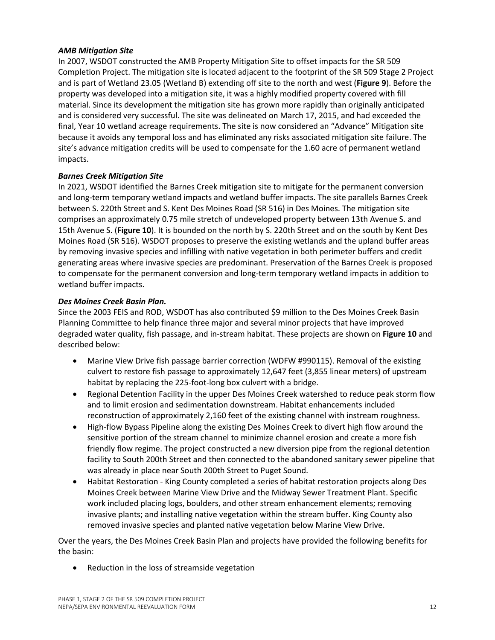#### *AMB Mitigation Site*

In 2007, WSDOT constructed the AMB Property Mitigation Site to offset impacts for the SR 509 Completion Project. The mitigation site is located adjacent to the footprint of the SR 509 Stage 2 Project and is part of Wetland 23.05 (Wetland B) extending off site to the north and west (**Figure 9**). Before the property was developed into a mitigation site, it was a highly modified property covered with fill material. Since its development the mitigation site has grown more rapidly than originally anticipated and is considered very successful. The site was delineated on March 17, 2015, and had exceeded the final, Year 10 wetland acreage requirements. The site is now considered an "Advance" Mitigation site because it avoids any temporal loss and has eliminated any risks associated mitigation site failure. The site's advance mitigation credits will be used to compensate for the 1.60 acre of permanent wetland impacts.

#### *Barnes Creek Mitigation Site*

In 2021, WSDOT identified the Barnes Creek mitigation site to mitigate for the permanent conversion and long-term temporary wetland impacts and wetland buffer impacts. The site parallels Barnes Creek between S. 220th Street and S. Kent Des Moines Road (SR 516) in Des Moines. The mitigation site comprises an approximately 0.75 mile stretch of undeveloped property between 13th Avenue S. and 15th Avenue S. (**Figure 10**). It is bounded on the north by S. 220th Street and on the south by Kent Des Moines Road (SR 516). WSDOT proposes to preserve the existing wetlands and the upland buffer areas by removing invasive species and infilling with native vegetation in both perimeter buffers and credit generating areas where invasive species are predominant. Preservation of the Barnes Creek is proposed to compensate for the permanent conversion and long-term temporary wetland impacts in addition to wetland buffer impacts.

#### *Des Moines Creek Basin Plan.*

Since the 2003 FEIS and ROD, WSDOT has also contributed \$9 million to the Des Moines Creek Basin Planning Committee to help finance three major and several minor projects that have improved degraded water quality, fish passage, and in-stream habitat. These projects are shown on **Figure 10** and described below:

- Marine View Drive fish passage barrier correction (WDFW #990115). Removal of the existing culvert to restore fish passage to approximately 12,647 feet (3,855 linear meters) of upstream habitat by replacing the 225-foot-long box culvert with a bridge.
- Regional Detention Facility in the upper Des Moines Creek watershed to reduce peak storm flow and to limit erosion and sedimentation downstream. Habitat enhancements included reconstruction of approximately 2,160 feet of the existing channel with instream roughness.
- High-flow Bypass Pipeline along the existing Des Moines Creek to divert high flow around the sensitive portion of the stream channel to minimize channel erosion and create a more fish friendly flow regime. The project constructed a new diversion pipe from the regional detention facility to South 200th Street and then connected to the abandoned sanitary sewer pipeline that was already in place near South 200th Street to Puget Sound.
- Habitat Restoration King County completed a series of habitat restoration projects along Des Moines Creek between Marine View Drive and the Midway Sewer Treatment Plant. Specific work included placing logs, boulders, and other stream enhancement elements; removing invasive plants; and installing native vegetation within the stream buffer. King County also removed invasive species and planted native vegetation below Marine View Drive.

Over the years, the Des Moines Creek Basin Plan and projects have provided the following benefits for the basin:

Reduction in the loss of streamside vegetation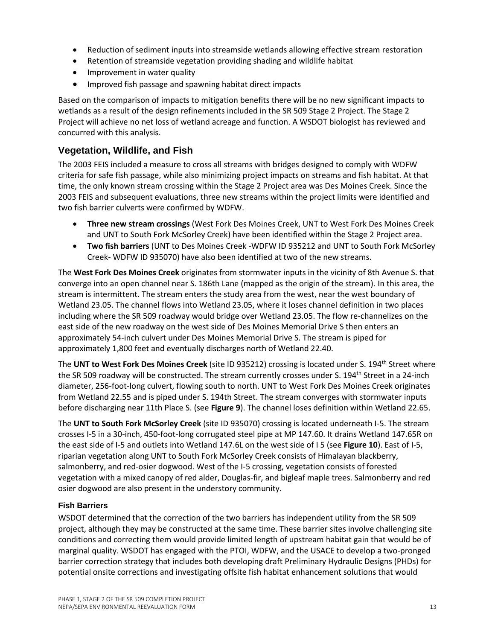- Reduction of sediment inputs into streamside wetlands allowing effective stream restoration
- Retention of streamside vegetation providing shading and wildlife habitat
- Improvement in water quality
- Improved fish passage and spawning habitat direct impacts

Based on the comparison of impacts to mitigation benefits there will be no new significant impacts to wetlands as a result of the design refinements included in the SR 509 Stage 2 Project. The Stage 2 Project will achieve no net loss of wetland acreage and function. A WSDOT biologist has reviewed and concurred with this analysis.

### **Vegetation, Wildlife, and Fish**

The 2003 FEIS included a measure to cross all streams with bridges designed to comply with WDFW criteria for safe fish passage, while also minimizing project impacts on streams and fish habitat. At that time, the only known stream crossing within the Stage 2 Project area was Des Moines Creek. Since the 2003 FEIS and subsequent evaluations, three new streams within the project limits were identified and two fish barrier culverts were confirmed by WDFW.

- **Three new stream crossings** (West Fork Des Moines Creek, UNT to West Fork Des Moines Creek and UNT to South Fork McSorley Creek) have been identified within the Stage 2 Project area.
- **Two fish barriers** (UNT to Des Moines Creek -WDFW ID 935212 and UNT to South Fork McSorley Creek- WDFW ID 935070) have also been identified at two of the new streams.

The **West Fork Des Moines Creek** originates from stormwater inputs in the vicinity of 8th Avenue S. that converge into an open channel near S. 186th Lane (mapped as the origin of the stream). In this area, the stream is intermittent. The stream enters the study area from the west, near the west boundary of Wetland 23.05. The channel flows into Wetland 23.05, where it loses channel definition in two places including where the SR 509 roadway would bridge over Wetland 23.05. The flow re-channelizes on the east side of the new roadway on the west side of Des Moines Memorial Drive S then enters an approximately 54-inch culvert under Des Moines Memorial Drive S. The stream is piped for approximately 1,800 feet and eventually discharges north of Wetland 22.40.

The UNT to West Fork Des Moines Creek (site ID 935212) crossing is located under S. 194<sup>th</sup> Street where the SR 509 roadway will be constructed. The stream currently crosses under S. 194<sup>th</sup> Street in a 24-inch diameter, 256-foot-long culvert, flowing south to north. UNT to West Fork Des Moines Creek originates from Wetland 22.55 and is piped under S. 194th Street. The stream converges with stormwater inputs before discharging near 11th Place S. (see **Figure 9**). The channel loses definition within Wetland 22.65.

The **UNT to South Fork McSorley Creek** (site ID 935070) crossing is located underneath I-5. The stream crosses I-5 in a 30-inch, 450-foot-long corrugated steel pipe at MP 147.60. It drains Wetland 147.65R on the east side of I-5 and outlets into Wetland 147.6L on the west side of I 5 (see **Figure 10**). East of I-5, riparian vegetation along UNT to South Fork McSorley Creek consists of Himalayan blackberry, salmonberry, and red-osier dogwood. West of the I-5 crossing, vegetation consists of forested vegetation with a mixed canopy of red alder, Douglas-fir, and bigleaf maple trees. Salmonberry and red osier dogwood are also present in the understory community.

### **Fish Barriers**

WSDOT determined that the correction of the two barriers has independent utility from the SR 509 project, although they may be constructed at the same time. These barrier sites involve challenging site conditions and correcting them would provide limited length of upstream habitat gain that would be of marginal quality. WSDOT has engaged with the PTOI, WDFW, and the USACE to develop a two-pronged barrier correction strategy that includes both developing draft Preliminary Hydraulic Designs (PHDs) for potential onsite corrections and investigating offsite fish habitat enhancement solutions that would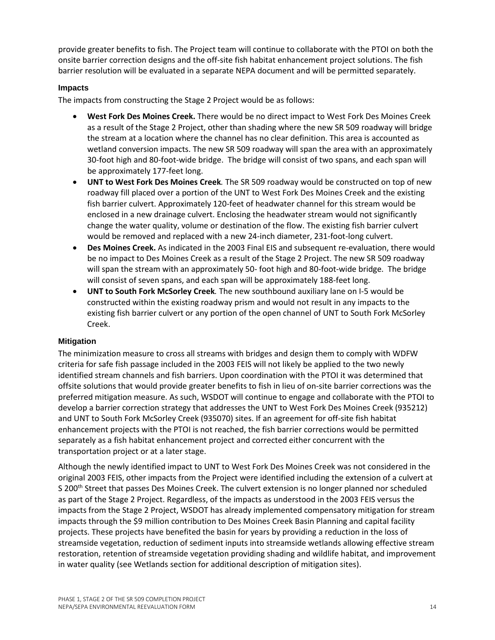provide greater benefits to fish. The Project team will continue to collaborate with the PTOI on both the onsite barrier correction designs and the off-site fish habitat enhancement project solutions. The fish barrier resolution will be evaluated in a separate NEPA document and will be permitted separately.

#### **Impacts**

The impacts from constructing the Stage 2 Project would be as follows:

- **West Fork Des Moines Creek.** There would be no direct impact to West Fork Des Moines Creek as a result of the Stage 2 Project, other than shading where the new SR 509 roadway will bridge the stream at a location where the channel has no clear definition. This area is accounted as wetland conversion impacts. The new SR 509 roadway will span the area with an approximately 30-foot high and 80-foot-wide bridge. The bridge will consist of two spans, and each span will be approximately 177-feet long.
- **UNT to West Fork Des Moines Creek***.* The SR 509 roadway would be constructed on top of new roadway fill placed over a portion of the UNT to West Fork Des Moines Creek and the existing fish barrier culvert. Approximately 120-feet of headwater channel for this stream would be enclosed in a new drainage culvert. Enclosing the headwater stream would not significantly change the water quality, volume or destination of the flow. The existing fish barrier culvert would be removed and replaced with a new 24-inch diameter, 231-foot-long culvert.
- **Des Moines Creek.** As indicated in the 2003 Final EIS and subsequent re-evaluation, there would be no impact to Des Moines Creek as a result of the Stage 2 Project. The new SR 509 roadway will span the stream with an approximately 50- foot high and 80-foot-wide bridge. The bridge will consist of seven spans, and each span will be approximately 188-feet long.
- **UNT to South Fork McSorley Creek***.* The new southbound auxiliary lane on I-5 would be constructed within the existing roadway prism and would not result in any impacts to the existing fish barrier culvert or any portion of the open channel of UNT to South Fork McSorley Creek.

#### **Mitigation**

The minimization measure to cross all streams with bridges and design them to comply with WDFW criteria for safe fish passage included in the 2003 FEIS will not likely be applied to the two newly identified stream channels and fish barriers. Upon coordination with the PTOI it was determined that offsite solutions that would provide greater benefits to fish in lieu of on-site barrier corrections was the preferred mitigation measure. As such, WSDOT will continue to engage and collaborate with the PTOI to develop a barrier correction strategy that addresses the UNT to West Fork Des Moines Creek (935212) and UNT to South Fork McSorley Creek (935070) sites. If an agreement for off-site fish habitat enhancement projects with the PTOI is not reached, the fish barrier corrections would be permitted separately as a fish habitat enhancement project and corrected either concurrent with the transportation project or at a later stage.

Although the newly identified impact to UNT to West Fork Des Moines Creek was not considered in the original 2003 FEIS, other impacts from the Project were identified including the extension of a culvert at S 200<sup>th</sup> Street that passes Des Moines Creek. The culvert extension is no longer planned nor scheduled as part of the Stage 2 Project. Regardless, of the impacts as understood in the 2003 FEIS versus the impacts from the Stage 2 Project, WSDOT has already implemented compensatory mitigation for stream impacts through the \$9 million contribution to Des Moines Creek Basin Planning and capital facility projects. These projects have benefited the basin for years by providing a reduction in the loss of streamside vegetation, reduction of sediment inputs into streamside wetlands allowing effective stream restoration, retention of streamside vegetation providing shading and wildlife habitat, and improvement in water quality (see Wetlands section for additional description of mitigation sites).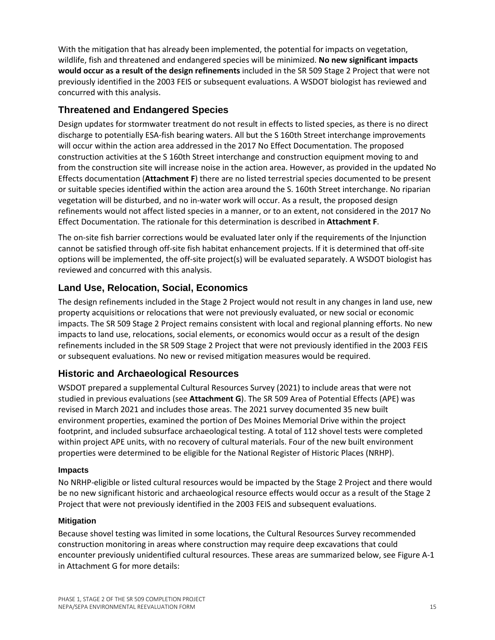With the mitigation that has already been implemented, the potential for impacts on vegetation, wildlife, fish and threatened and endangered species will be minimized. **No new significant impacts would occur as a result of the design refinements** included in the SR 509 Stage 2 Project that were not previously identified in the 2003 FEIS or subsequent evaluations. A WSDOT biologist has reviewed and concurred with this analysis.

### **Threatened and Endangered Species**

Design updates for stormwater treatment do not result in effects to listed species, as there is no direct discharge to potentially ESA-fish bearing waters. All but the S 160th Street interchange improvements will occur within the action area addressed in the 2017 No Effect Documentation. The proposed construction activities at the S 160th Street interchange and construction equipment moving to and from the construction site will increase noise in the action area. However, as provided in the updated No Effects documentation (**Attachment F**) there are no listed terrestrial species documented to be present or suitable species identified within the action area around the S. 160th Street interchange. No riparian vegetation will be disturbed, and no in-water work will occur. As a result, the proposed design refinements would not affect listed species in a manner, or to an extent, not considered in the 2017 No Effect Documentation. The rationale for this determination is described in **Attachment F**.

The on-site fish barrier corrections would be evaluated later only if the requirements of the Injunction cannot be satisfied through off-site fish habitat enhancement projects. If it is determined that off-site options will be implemented, the off-site project(s) will be evaluated separately. A WSDOT biologist has reviewed and concurred with this analysis.

### **Land Use, Relocation, Social, Economics**

The design refinements included in the Stage 2 Project would not result in any changes in land use, new property acquisitions or relocations that were not previously evaluated, or new social or economic impacts. The SR 509 Stage 2 Project remains consistent with local and regional planning efforts. No new impacts to land use, relocations, social elements, or economics would occur as a result of the design refinements included in the SR 509 Stage 2 Project that were not previously identified in the 2003 FEIS or subsequent evaluations. No new or revised mitigation measures would be required.

### **Historic and Archaeological Resources**

WSDOT prepared a supplemental Cultural Resources Survey (2021) to include areas that were not studied in previous evaluations (see **Attachment G**). The SR 509 Area of Potential Effects (APE) was revised in March 2021 and includes those areas. The 2021 survey documented 35 new built environment properties, examined the portion of Des Moines Memorial Drive within the project footprint, and included subsurface archaeological testing. A total of 112 shovel tests were completed within project APE units, with no recovery of cultural materials. Four of the new built environment properties were determined to be eligible for the National Register of Historic Places (NRHP).

#### **Impacts**

No NRHP-eligible or listed cultural resources would be impacted by the Stage 2 Project and there would be no new significant historic and archaeological resource effects would occur as a result of the Stage 2 Project that were not previously identified in the 2003 FEIS and subsequent evaluations.

### **Mitigation**

Because shovel testing was limited in some locations, the Cultural Resources Survey recommended construction monitoring in areas where construction may require deep excavations that could encounter previously unidentified cultural resources. These areas are summarized below, see Figure A-1 in Attachment G for more details: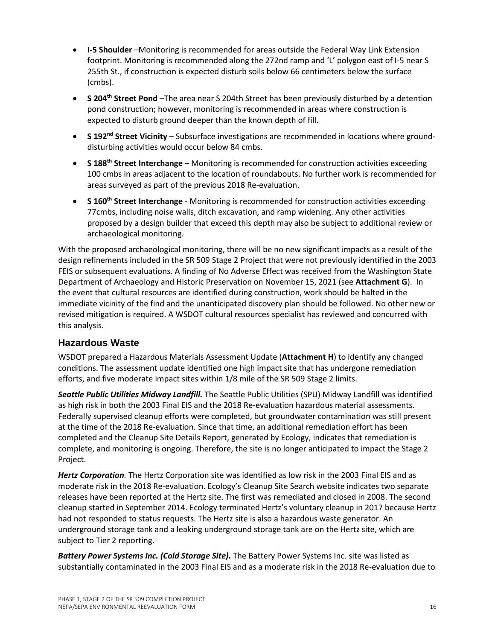- **I-5 Shoulder** –Monitoring is recommended for areas outside the Federal Way Link Extension footprint. Monitoring is recommended along the 272nd ramp and 'L' polygon east of I-5 near S 255th St., if construction is expected disturb soils below 66 centimeters below the surface (cmbs).
- **S 204th Street Pond** –The area near S 204th Street has been previously disturbed by a detention pond construction; however, monitoring is recommended in areas where construction is expected to disturb ground deeper than the known depth of fill.
- **S 192nd Street Vicinity** Subsurface investigations are recommended in locations where grounddisturbing activities would occur below 84 cmbs.
- **S 188th Street Interchange** Monitoring is recommended for construction activities exceeding 100 cmbs in areas adjacent to the location of roundabouts. No further work is recommended for areas surveyed as part of the previous 2018 Re-evaluation.
- **S 160th Street Interchange** Monitoring is recommended for construction activities exceeding 77cmbs, including noise walls, ditch excavation, and ramp widening. Any other activities proposed by a design builder that exceed this depth may also be subject to additional review or archaeological monitoring.

With the proposed archaeological monitoring, there will be no new significant impacts as a result of the design refinements included in the SR 509 Stage 2 Project that were not previously identified in the 2003 FEIS or subsequent evaluations. A finding of No Adverse Effect was received from the Washington State Department of Archaeology and Historic Preservation on November 15, 2021 (see **Attachment G**). In the event that cultural resources are identified during construction, work should be halted in the immediate vicinity of the find and the unanticipated discovery plan should be followed. No other new or revised mitigation is required. A WSDOT cultural resources specialist has reviewed and concurred with this analysis.

### **Hazardous Waste**

WSDOT prepared a Hazardous Materials Assessment Update (**Attachment H**) to identify any changed conditions. The assessment update identified one high impact site that has undergone remediation efforts, and five moderate impact sites within 1/8 mile of the SR 509 Stage 2 limits.

*Seattle Public Utilities Midway Landfill.* The Seattle Public Utilities (SPU) Midway Landfill was identified as high risk in both the 2003 Final EIS and the 2018 Re-evaluation hazardous material assessments. Federally supervised cleanup efforts were completed, but groundwater contamination was still present at the time of the 2018 Re-evaluation. Since that time, an additional remediation effort has been completed and the Cleanup Site Details Report, generated by Ecology, indicates that remediation is complete, and monitoring is ongoing. Therefore, the site is no longer anticipated to impact the Stage 2 Project.

*Hertz Corporation.* The Hertz Corporation site was identified as low risk in the 2003 Final EIS and as moderate risk in the 2018 Re-evaluation. Ecology's Cleanup Site Search website indicates two separate releases have been reported at the Hertz site. The first was remediated and closed in 2008. The second cleanup started in September 2014. Ecology terminated Hertz's voluntary cleanup in 2017 because Hertz had not responded to status requests. The Hertz site is also a hazardous waste generator. An underground storage tank and a leaking underground storage tank are on the Hertz site, which are subject to Tier 2 reporting.

*Battery Power Systems Inc. (Cold Storage Site).* The Battery Power Systems Inc. site was listed as substantially contaminated in the 2003 Final EIS and as a moderate risk in the 2018 Re-evaluation due to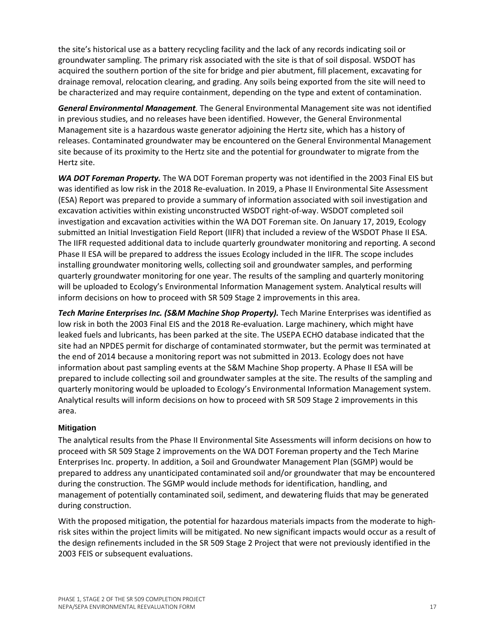the site's historical use as a battery recycling facility and the lack of any records indicating soil or groundwater sampling. The primary risk associated with the site is that of soil disposal. WSDOT has acquired the southern portion of the site for bridge and pier abutment, fill placement, excavating for drainage removal, relocation clearing, and grading. Any soils being exported from the site will need to be characterized and may require containment, depending on the type and extent of contamination.

*General Environmental Management.* The General Environmental Management site was not identified in previous studies, and no releases have been identified. However, the General Environmental Management site is a hazardous waste generator adjoining the Hertz site, which has a history of releases. Contaminated groundwater may be encountered on the General Environmental Management site because of its proximity to the Hertz site and the potential for groundwater to migrate from the Hertz site.

*WA DOT Foreman Property.* The WA DOT Foreman property was not identified in the 2003 Final EIS but was identified as low risk in the 2018 Re-evaluation. In 2019, a Phase II Environmental Site Assessment (ESA) Report was prepared to provide a summary of information associated with soil investigation and excavation activities within existing unconstructed WSDOT right-of-way. WSDOT completed soil investigation and excavation activities within the WA DOT Foreman site. On January 17, 2019, Ecology submitted an Initial Investigation Field Report (IIFR) that included a review of the WSDOT Phase II ESA. The IIFR requested additional data to include quarterly groundwater monitoring and reporting. A second Phase II ESA will be prepared to address the issues Ecology included in the IIFR. The scope includes installing groundwater monitoring wells, collecting soil and groundwater samples, and performing quarterly groundwater monitoring for one year. The results of the sampling and quarterly monitoring will be uploaded to Ecology's Environmental Information Management system. Analytical results will inform decisions on how to proceed with SR 509 Stage 2 improvements in this area.

*Tech Marine Enterprises Inc. (S&M Machine Shop Property).* Tech Marine Enterprises was identified as low risk in both the 2003 Final EIS and the 2018 Re-evaluation. Large machinery, which might have leaked fuels and lubricants, has been parked at the site. The USEPA ECHO database indicated that the site had an NPDES permit for discharge of contaminated stormwater, but the permit was terminated at the end of 2014 because a monitoring report was not submitted in 2013. Ecology does not have information about past sampling events at the S&M Machine Shop property. A Phase II ESA will be prepared to include collecting soil and groundwater samples at the site. The results of the sampling and quarterly monitoring would be uploaded to Ecology's Environmental Information Management system. Analytical results will inform decisions on how to proceed with SR 509 Stage 2 improvements in this area.

#### **Mitigation**

The analytical results from the Phase II Environmental Site Assessments will inform decisions on how to proceed with SR 509 Stage 2 improvements on the WA DOT Foreman property and the Tech Marine Enterprises Inc. property. In addition, a Soil and Groundwater Management Plan (SGMP) would be prepared to address any unanticipated contaminated soil and/or groundwater that may be encountered during the construction. The SGMP would include methods for identification, handling, and management of potentially contaminated soil, sediment, and dewatering fluids that may be generated during construction.

With the proposed mitigation, the potential for hazardous materials impacts from the moderate to highrisk sites within the project limits will be mitigated. No new significant impacts would occur as a result of the design refinements included in the SR 509 Stage 2 Project that were not previously identified in the 2003 FEIS or subsequent evaluations.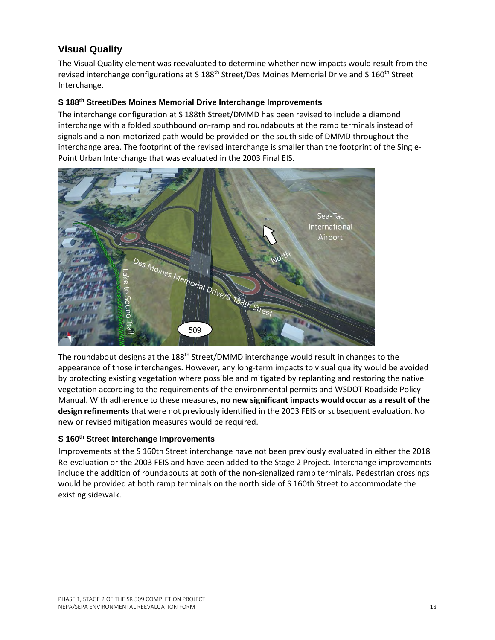### **Visual Quality**

The Visual Quality element was reevaluated to determine whether new impacts would result from the revised interchange configurations at S 188<sup>th</sup> Street/Des Moines Memorial Drive and S 160<sup>th</sup> Street Interchange.

#### **S 188th Street/Des Moines Memorial Drive Interchange Improvements**

The interchange configuration at S 188th Street/DMMD has been revised to include a diamond interchange with a folded southbound on-ramp and roundabouts at the ramp terminals instead of signals and a non-motorized path would be provided on the south side of DMMD throughout the interchange area. The footprint of the revised interchange is smaller than the footprint of the Single-Point Urban Interchange that was evaluated in the 2003 Final EIS.



The roundabout designs at the 188<sup>th</sup> Street/DMMD interchange would result in changes to the appearance of those interchanges. However, any long-term impacts to visual quality would be avoided by protecting existing vegetation where possible and mitigated by replanting and restoring the native vegetation according to the requirements of the environmental permits and WSDOT Roadside Policy Manual. With adherence to these measures, **no new significant impacts would occur as a result of the design refinements** that were not previously identified in the 2003 FEIS or subsequent evaluation. No new or revised mitigation measures would be required.

#### **S 160th Street Interchange Improvements**

Improvements at the S 160th Street interchange have not been previously evaluated in either the 2018 Re-evaluation or the 2003 FEIS and have been added to the Stage 2 Project. Interchange improvements include the addition of roundabouts at both of the non-signalized ramp terminals. Pedestrian crossings would be provided at both ramp terminals on the north side of S 160th Street to accommodate the existing sidewalk.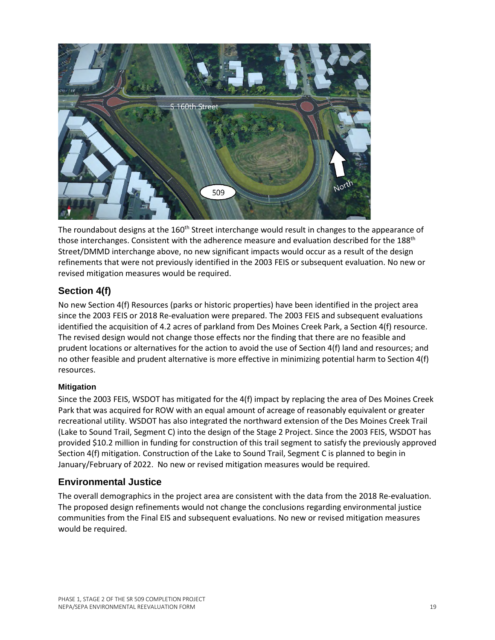

The roundabout designs at the 160<sup>th</sup> Street interchange would result in changes to the appearance of those interchanges. Consistent with the adherence measure and evaluation described for the 188<sup>th</sup> Street/DMMD interchange above, no new significant impacts would occur as a result of the design refinements that were not previously identified in the 2003 FEIS or subsequent evaluation. No new or revised mitigation measures would be required.

### **Section 4(f)**

No new Section 4(f) Resources (parks or historic properties) have been identified in the project area since the 2003 FEIS or 2018 Re-evaluation were prepared. The 2003 FEIS and subsequent evaluations identified the acquisition of 4.2 acres of parkland from Des Moines Creek Park, a Section 4(f) resource. The revised design would not change those effects nor the finding that there are no feasible and prudent locations or alternatives for the action to avoid the use of Section 4(f) land and resources; and no other feasible and prudent alternative is more effective in minimizing potential harm to Section 4(f) resources.

### **Mitigation**

Since the 2003 FEIS, WSDOT has mitigated for the 4(f) impact by replacing the area of Des Moines Creek Park that was acquired for ROW with an equal amount of acreage of reasonably equivalent or greater recreational utility. WSDOT has also integrated the northward extension of the Des Moines Creek Trail (Lake to Sound Trail, Segment C) into the design of the Stage 2 Project. Since the 2003 FEIS, WSDOT has provided \$10.2 million in funding for construction of this trail segment to satisfy the previously approved Section 4(f) mitigation. Construction of the Lake to Sound Trail, Segment C is planned to begin in January/February of 2022. No new or revised mitigation measures would be required.

### **Environmental Justice**

The overall demographics in the project area are consistent with the data from the 2018 Re-evaluation. The proposed design refinements would not change the conclusions regarding environmental justice communities from the Final EIS and subsequent evaluations. No new or revised mitigation measures would be required.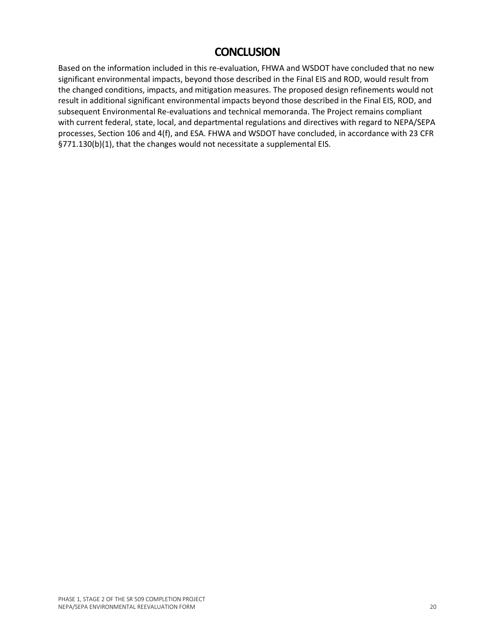# **CONCLUSION**

Based on the information included in this re-evaluation, FHWA and WSDOT have concluded that no new significant environmental impacts, beyond those described in the Final EIS and ROD, would result from the changed conditions, impacts, and mitigation measures. The proposed design refinements would not result in additional significant environmental impacts beyond those described in the Final EIS, ROD, and subsequent Environmental Re-evaluations and technical memoranda. The Project remains compliant with current federal, state, local, and departmental regulations and directives with regard to NEPA/SEPA processes, Section 106 and 4(f), and ESA. FHWA and WSDOT have concluded, in accordance with 23 CFR §771.130(b)(1), that the changes would not necessitate a supplemental EIS.